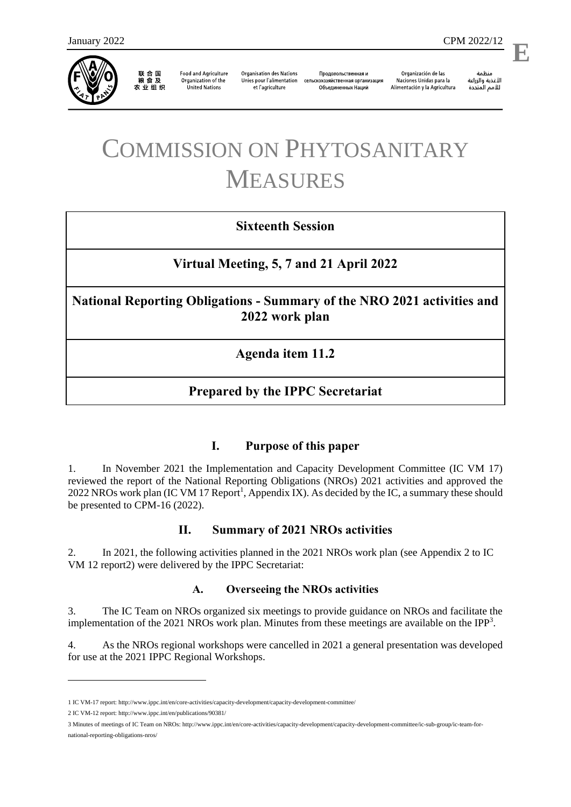

联合国<br>粮食及 农业组织

**Food and Agriculture** Organization of the **United Nations** 

**Organisation des Nations** Unies pour l'alimentation et l'agriculture

Продовольственная и сельскохозяйственная организация Объелиненных Наций

Organización de las Naciones Unidas para la Alimentación y la Agricultura

منظمة الأغذية والزراعة للأمم المتحدة

l,

# COMMISSION ON PHYTOSANITARY MEASURES

## **Sixteenth Session**

## **Virtual Meeting, 5, 7 and 21 April 2022**

**National Reporting Obligations - Summary of the NRO 2021 activities and 2022 work plan**

**Agenda item 11.2**

## **Prepared by the IPPC Secretariat**

#### **I. Purpose of this paper**

1. In November 2021 the Implementation and Capacity Development Committee (IC VM 17) reviewed the report of the National Reporting Obligations (NROs) 2021 activities and approved the 2022 NROs work plan (IC VM 17 Report<sup>1</sup>, Appendix IX). As decided by the IC, a summary these should be presented to CPM-16 (2022).

#### **II. Summary of 2021 NROs activities**

2. In 2021, the following activities planned in the 2021 NROs work plan (see Appendix 2 to IC VM 12 report2) were delivered by the IPPC Secretariat:

#### **A. Overseeing the NROs activities**

3. The IC Team on NROs organized six meetings to provide guidance on NROs and facilitate the implementation of the 2021 NROs work plan. Minutes from these meetings are available on the IPP<sup>3</sup>.

4. As the NROs regional workshops were cancelled in 2021 a general presentation was developed for use at the 2021 IPPC Regional Workshops.

1

<sup>1</sup> IC VM-17 report[: http://www.ippc.int/en/core-activities/capacity-development/capacity-development-committee/](http://www.ippc.int/en/core-activities/capacity-development/capacity-development-committee/)

<sup>2</sup> IC VM-12 report[: http://www.ippc.int/en/publications/90381/](http://www.ippc.int/en/publications/90381/)

<sup>3</sup> Minutes of meetings of IC Team on NROs[: http://www.ippc.int/en/core-activities/capacity-development/capacity-development-committee/ic-sub-group/ic-team-for](http://www.ippc.int/en/core-activities/capacity-development/capacity-development-committee/ic-sub-group/ic-team-for-national-reporting-obligations-nros/)[national-reporting-obligations-nros/](http://www.ippc.int/en/core-activities/capacity-development/capacity-development-committee/ic-sub-group/ic-team-for-national-reporting-obligations-nros/)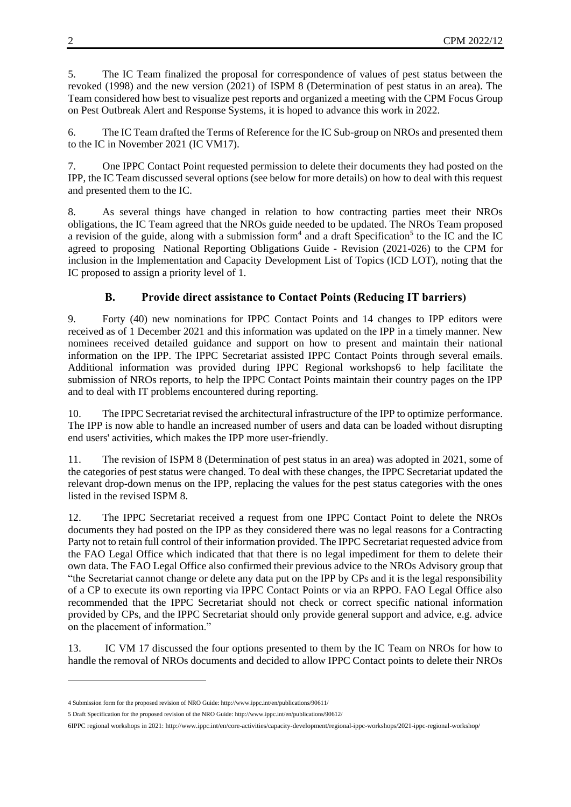5. The IC Team finalized the proposal for correspondence of values of pest status between the revoked (1998) and the new version (2021) of ISPM 8 (Determination of pest status in an area). The Team considered how best to visualize pest reports and organized a meeting with the CPM Focus Group on Pest Outbreak Alert and Response Systems, it is hoped to advance this work in 2022.

6. The IC Team drafted the Terms of Reference for the IC Sub-group on NROs and presented them to the IC in November 2021 (IC VM17).

7. One IPPC Contact Point requested permission to delete their documents they had posted on the IPP, the IC Team discussed several options (see below for more details) on how to deal with this request and presented them to the IC.

8. As several things have changed in relation to how contracting parties meet their NROs obligations, the IC Team agreed that the NROs guide needed to be updated. The NROs Team proposed a revision of the guide, along with a submission form<sup>4</sup> and a draft Specification<sup>5</sup> to the IC and the IC agreed to proposing National Reporting Obligations Guide - Revision (2021-026) to the CPM for inclusion in the Implementation and Capacity Development List of Topics (ICD LOT), noting that the IC proposed to assign a priority level of 1.

### **B. Provide direct assistance to Contact Points (Reducing IT barriers)**

9. Forty (40) new nominations for IPPC Contact Points and 14 changes to IPP editors were received as of 1 December 2021 and this information was updated on the IPP in a timely manner. New nominees received detailed guidance and support on how to present and maintain their national information on the IPP. The IPPC Secretariat assisted IPPC Contact Points through several emails. Additional information was provided during IPPC Regional workshops6 to help facilitate the submission of NROs reports, to help the IPPC Contact Points maintain their country pages on the IPP and to deal with IT problems encountered during reporting.

10. The IPPC Secretariat revised the architectural infrastructure of the IPP to optimize performance. The IPP is now able to handle an increased number of users and data can be loaded without disrupting end users' activities, which makes the IPP more user-friendly.

11. The revision of ISPM 8 (Determination of pest status in an area) was adopted in 2021, some of the categories of pest status were changed. To deal with these changes, the IPPC Secretariat updated the relevant drop-down menus on the IPP, replacing the values for the pest status categories with the ones listed in the revised ISPM 8.

12. The IPPC Secretariat received a request from one IPPC Contact Point to delete the NROs documents they had posted on the IPP as they considered there was no legal reasons for a Contracting Party not to retain full control of their information provided. The IPPC Secretariat requested advice from the FAO Legal Office which indicated that that there is no legal impediment for them to delete their own data. The FAO Legal Office also confirmed their previous advice to the NROs Advisory group that "the Secretariat cannot change or delete any data put on the IPP by CPs and it is the legal responsibility of a CP to execute its own reporting via IPPC Contact Points or via an RPPO. FAO Legal Office also recommended that the IPPC Secretariat should not check or correct specific national information provided by CPs, and the IPPC Secretariat should only provide general support and advice, e.g. advice on the placement of information."

13. IC VM 17 discussed the four options presented to them by the IC Team on NROs for how to handle the removal of NROs documents and decided to allow IPPC Contact points to delete their NROs

1

<sup>4</sup> Submission form for the proposed revision of NRO Guide[: http://www.ippc.int/en/publications/90611/](http://www.ippc.int/en/publications/90611/)

<sup>5</sup> Draft Specification for the proposed revision of the NRO Guide[: http://www.ippc.int/en/publications/90612/](http://www.ippc.int/en/publications/90612/)

<sup>6</sup>IPPC regional workshops in 2021: http://www.ippc.int/en/core-activities/capacity-development/regional-ippc-workshops/2021-ippc-regional-workshop/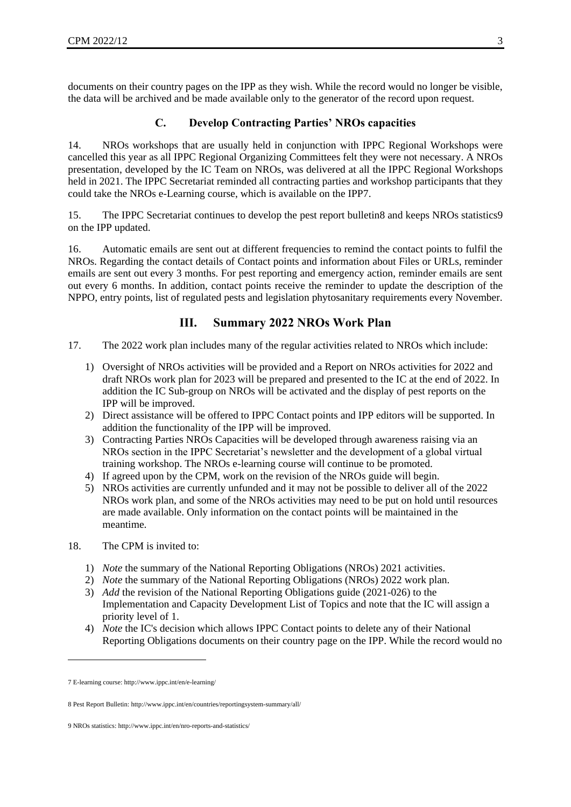documents on their country pages on the IPP as they wish. While the record would no longer be visible, the data will be archived and be made available only to the generator of the record upon request.

#### **C. Develop Contracting Parties' NROs capacities**

14. NROs workshops that are usually held in conjunction with IPPC Regional Workshops were cancelled this year as all IPPC Regional Organizing Committees felt they were not necessary. A NROs presentation, developed by the IC Team on NROs, was delivered at all the IPPC Regional Workshops held in 2021. The IPPC Secretariat reminded all contracting parties and workshop participants that they could take the NROs e-Learning course, which is available on the IPP7.

15. The IPPC Secretariat continues to develop the pest report bulletin8 and keeps NROs statistics9 on the IPP updated.

16. Automatic emails are sent out at different frequencies to remind the contact points to fulfil the NROs. Regarding the contact details of Contact points and information about Files or URLs, reminder emails are sent out every 3 months. For pest reporting and emergency action, reminder emails are sent out every 6 months. In addition, contact points receive the reminder to update the description of the NPPO, entry points, list of regulated pests and legislation phytosanitary requirements every November.

#### **III. Summary 2022 NROs Work Plan**

- 17. The 2022 work plan includes many of the regular activities related to NROs which include:
	- 1) Oversight of NROs activities will be provided and a Report on NROs activities for 2022 and draft NROs work plan for 2023 will be prepared and presented to the IC at the end of 2022. In addition the IC Sub-group on NROs will be activated and the display of pest reports on the IPP will be improved.
	- 2) Direct assistance will be offered to IPPC Contact points and IPP editors will be supported. In addition the functionality of the IPP will be improved.
	- 3) Contracting Parties NROs Capacities will be developed through awareness raising via an NROs section in the IPPC Secretariat's newsletter and the development of a global virtual training workshop. The NROs e-learning course will continue to be promoted.
	- 4) If agreed upon by the CPM, work on the revision of the NROs guide will begin.
	- 5) NROs activities are currently unfunded and it may not be possible to deliver all of the 2022 NROs work plan, and some of the NROs activities may need to be put on hold until resources are made available. Only information on the contact points will be maintained in the meantime.
- 18. The CPM is invited to:
	- 1) *Note* the summary of the National Reporting Obligations (NROs) 2021 activities.
	- 2) *Note* the summary of the National Reporting Obligations (NROs) 2022 work plan.
	- 3) *Add* the revision of the National Reporting Obligations guide (2021-026) to the Implementation and Capacity Development List of Topics and note that the IC will assign a priority level of 1.
	- 4) *Note* the IC's decision which allows IPPC Contact points to delete any of their National Reporting Obligations documents on their country page on the IPP. While the record would no

-

<sup>7</sup> E-learning course[: http://www.ippc.int/en/e-learning/](http://www.ippc.int/en/e-learning/)

<sup>8</sup> Pest Report Bulletin[: http://www.ippc.int/en/countries/reportingsystem-summary/all/](http://www.ippc.int/en/countries/reportingsystem-summary/all/)

<sup>9</sup> NROs statistics[: http://www.ippc.int/en/nro-reports-and-statistics/](https://www.ippc.int/en/nro-reports-and-statistics/)